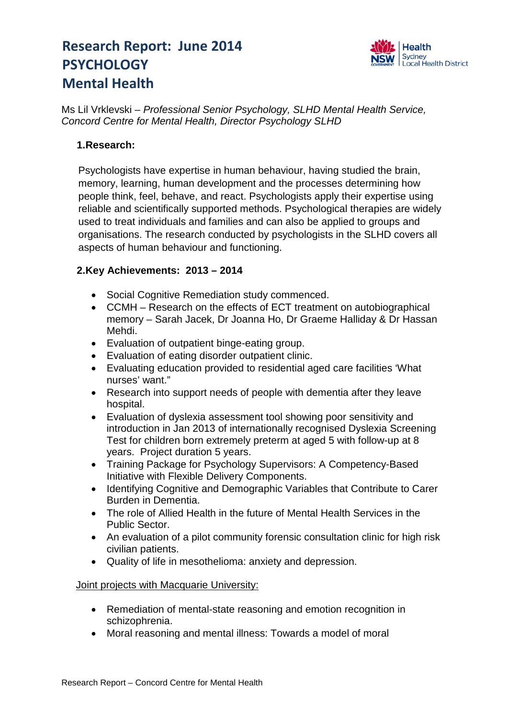# **Research Report: June 2014 PSYCHOLOGY Mental Health**



Ms Lil Vrklevski – *Professional Senior Psychology, SLHD Mental Health Service, Concord Centre for Mental Health, Director Psychology SLHD*

## **1.Research:**

Psychologists have expertise in human behaviour, having studied the brain, memory, learning, human development and the processes determining how people think, feel, behave, and react. Psychologists apply their expertise using reliable and scientifically supported methods. Psychological therapies are widely used to treat individuals and families and can also be applied to groups and organisations. The research conducted by psychologists in the SLHD covers all aspects of human behaviour and functioning.

## **2.Key Achievements: 2013 – 2014**

- Social Cognitive Remediation study commenced.
- CCMH Research on the effects of ECT treatment on autobiographical memory – Sarah Jacek, Dr Joanna Ho, Dr Graeme Halliday & Dr Hassan Mehdi.
- Evaluation of outpatient binge-eating group.
- Evaluation of eating disorder outpatient clinic.
- Evaluating education provided to residential aged care facilities 'What nurses' want."
- Research into support needs of people with dementia after they leave hospital.
- Evaluation of dyslexia assessment tool showing poor sensitivity and introduction in Jan 2013 of internationally recognised Dyslexia Screening Test for children born extremely preterm at aged 5 with follow-up at 8 years. Project duration 5 years.
- Training Package for Psychology Supervisors: A Competency-Based Initiative with Flexible Delivery Components.
- Identifying Cognitive and Demographic Variables that Contribute to Carer Burden in Dementia.
- The role of Allied Health in the future of Mental Health Services in the Public Sector.
- An evaluation of a pilot community forensic consultation clinic for high risk civilian patients.
- Quality of life in mesothelioma: anxiety and depression.

#### Joint projects with Macquarie University:

- Remediation of mental-state reasoning and emotion recognition in schizophrenia.
- Moral reasoning and mental illness: Towards a model of moral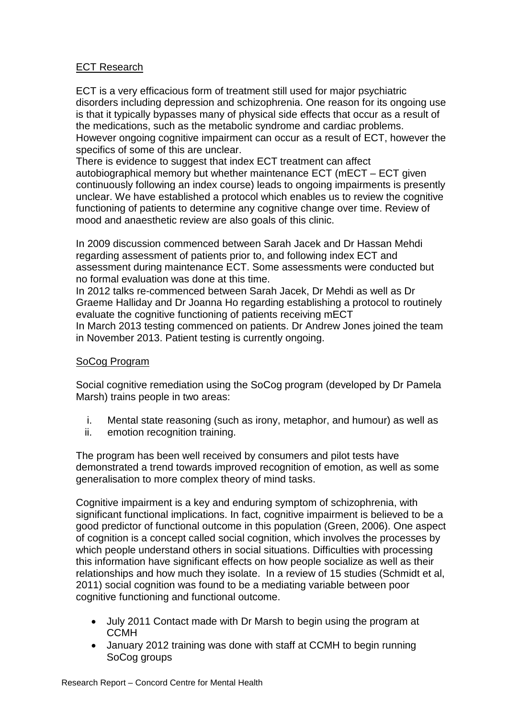### ECT Research

ECT is a very efficacious form of treatment still used for major psychiatric disorders including depression and schizophrenia. One reason for its ongoing use is that it typically bypasses many of physical side effects that occur as a result of the medications, such as the metabolic syndrome and cardiac problems. However ongoing cognitive impairment can occur as a result of ECT, however the specifics of some of this are unclear.

There is evidence to suggest that index ECT treatment can affect autobiographical memory but whether maintenance ECT (mECT – ECT given continuously following an index course) leads to ongoing impairments is presently unclear. We have established a protocol which enables us to review the cognitive functioning of patients to determine any cognitive change over time. Review of mood and anaesthetic review are also goals of this clinic.

In 2009 discussion commenced between Sarah Jacek and Dr Hassan Mehdi regarding assessment of patients prior to, and following index ECT and assessment during maintenance ECT. Some assessments were conducted but no formal evaluation was done at this time.

In 2012 talks re-commenced between Sarah Jacek, Dr Mehdi as well as Dr Graeme Halliday and Dr Joanna Ho regarding establishing a protocol to routinely evaluate the cognitive functioning of patients receiving mECT In March 2013 testing commenced on patients. Dr Andrew Jones joined the team in November 2013. Patient testing is currently ongoing.

#### SoCog Program

Social cognitive remediation using the SoCog program (developed by Dr Pamela Marsh) trains people in two areas:

- i. Mental state reasoning (such as irony, metaphor, and humour) as well as
- ii. emotion recognition training.

The program has been well received by consumers and pilot tests have demonstrated a trend towards improved recognition of emotion, as well as some generalisation to more complex theory of mind tasks.

Cognitive impairment is a key and enduring symptom of schizophrenia, with significant functional implications. In fact, cognitive impairment is believed to be a good predictor of functional outcome in this population (Green, 2006). One aspect of cognition is a concept called social cognition, which involves the processes by which people understand others in social situations. Difficulties with processing this information have significant effects on how people socialize as well as their relationships and how much they isolate. In a review of 15 studies (Schmidt et al, 2011) social cognition was found to be a mediating variable between poor cognitive functioning and functional outcome.

- July 2011 Contact made with Dr Marsh to begin using the program at **CCMH**
- January 2012 training was done with staff at CCMH to begin running SoCog groups